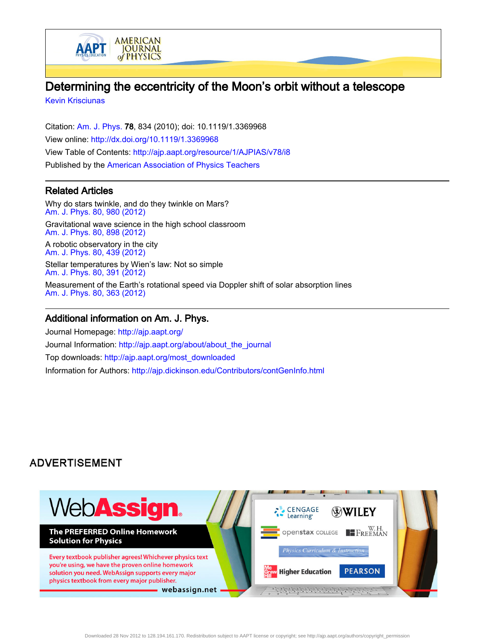

[Kevin Krisciunas](http://ajp.aapt.org/search?sortby=newestdate&q=&searchzone=2&searchtype=searchin&faceted=faceted&key=AJPIAS&possible1=Kevin Krisciunas&possible1zone=author&alias=&displayid=AAPT&ver=pdfcov)

ААРТ

Citation: [Am. J. Phys.](http://ajp.aapt.org/?ver=pdfcov) 78, 834 (2010); doi: 10.1119/1.3369968 View online: [http://dx.doi.org/10.1119/1.3369968](http://link.aip.org/link/doi/10.1119/1.3369968?ver=pdfcov) View Table of Contents: [http://ajp.aapt.org/resource/1/AJPIAS/v78/i8](http://ajp.aapt.org/resource/1/AJPIAS/v78/i8?ver=pdfcov) Published by the [American Association of Physics Teachers](http://www.aapt.org/?ver=pdfcov)

**AMERICAN** 

**JOURNAL** of PHYSICS

## Related Articles

Why do stars twinkle, and do they twinkle on Mars? [Am. J. Phys. 80, 980 \(2012\)](http://link.aip.org/link/doi/10.1119/1.4739056?ver=pdfcov) Gravitational wave science in the high school classroom [Am. J. Phys. 80, 898 \(2012\)](http://link.aip.org/link/doi/10.1119/1.4738365?ver=pdfcov) A robotic observatory in the city [Am. J. Phys. 80, 439 \(2012\)](http://link.aip.org/link/doi/10.1119/1.3696965?ver=pdfcov) Stellar temperatures by Wien's law: Not so simple [Am. J. Phys. 80, 391 \(2012\)](http://link.aip.org/link/doi/10.1119/1.3699958?ver=pdfcov)

Measurement of the Earth's rotational speed via Doppler shift of solar absorption lines [Am. J. Phys. 80, 363 \(2012\)](http://link.aip.org/link/doi/10.1119/1.3684841?ver=pdfcov)

## Additional information on Am. J. Phys.

Journal Homepage: [http://ajp.aapt.org/](http://ajp.aapt.org/?ver=pdfcov) Journal Information: [http://ajp.aapt.org/about/about\\_the\\_journal](http://ajp.aapt.org/about/about_the_journal?ver=pdfcov) Top downloads: [http://ajp.aapt.org/most\\_downloaded](http://ajp.aapt.org/most_downloaded?ver=pdfcov) Information for Authors: [http://ajp.dickinson.edu/Contributors/contGenInfo.html](http://ajp.dickinson.edu/Contributors/contGenInfo.html?ver=pdfcov)

# **ADVERTISEMENT**

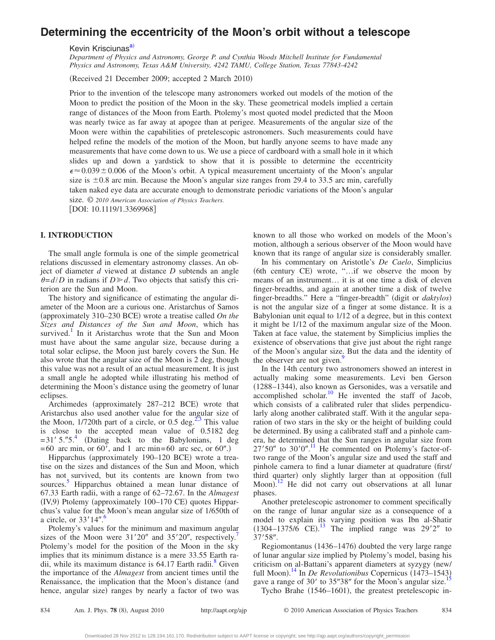# **Determining the eccentricity of the Moon's orbit without a telescope**

Kevin Krisciunas<sup>a)</sup>

*Department of Physics and Astronomy, George P. and Cynthia Woods Mitchell Institute for Fundamental Physics and Astronomy, Texas A&M University, 4242 TAMU, College Station, Texas 77843-4242*

(Received 21 December 2009; accepted 2 March 2010)

Prior to the invention of the telescope many astronomers worked out models of the motion of the Moon to predict the position of the Moon in the sky. These geometrical models implied a certain range of distances of the Moon from Earth. Ptolemy's most quoted model predicted that the Moon was nearly twice as far away at apogee than at perigee. Measurements of the angular size of the Moon were within the capabilities of pretelescopic astronomers. Such measurements could have helped refine the models of the motion of the Moon, but hardly anyone seems to have made any measurements that have come down to us. We use a piece of cardboard with a small hole in it which slides up and down a yardstick to show that it is possible to determine the eccentricity  $\epsilon \approx 0.039 \pm 0.006$  of the Moon's orbit. A typical measurement uncertainty of the Moon's angular size is  $\pm 0.8$  arc min. Because the Moon's angular size ranges from 29.4 to 33.5 arc min, carefully taken naked eye data are accurate enough to demonstrate periodic variations of the Moon's angular size. © *2010 American Association of Physics Teachers.*

[DOI: 10.1119/1.3369968]

### **I. INTRODUCTION**

The small angle formula is one of the simple geometrical relations discussed in elementary astronomy classes. An object of diameter *d* viewed at distance *D* subtends an angle  $\theta = d/D$  in radians if  $D \ge d$ . Two objects that satisfy this criterion are the Sun and Moon.

The history and significance of estimating the angular diameter of the Moon are a curious one. Aristarchus of Samos (approximately 310-230 BCE) wrote a treatise called *On the Sizes and Distances of the Sun and Moon*, which has survived.<sup>1</sup> In it Aristarchus wrote that the Sun and Moon must have about the same angular size, because during a total solar eclipse, the Moon just barely covers the Sun. He also wrote that the angular size of the Moon is 2 deg, though this value was not a result of an actual measurement. It is just a small angle he adopted while illustrating his method of determining the Moon's distance using the geometry of lunar eclipses.

Archimedes (approximately 287-212 BCE) wrote that Aristarchus also used another value for the angular size of the Moon,  $1/720$ th part of a circle, or 0.5 deg.<sup>2[,3](#page-5-3)</sup> This value is close to the accepted mean value of 0.5182 deg  $=31' 5.^{0.75}$ . (Dating back to the Babylonians, 1 deg  $=60$  arc min, or 60', and 1 arc min=60 arc sec, or 60".)

Hipparchus (approximately 190-120 BCE) wrote a treatise on the sizes and distances of the Sun and Moon, which has not survived, but its contents are known from two sources. [5](#page-5-5) Hipparchus obtained a mean lunar distance of 67.33 Earth radii, with a range of 62–72.67. In the *Almagest* (IV,9) Ptolemy (approximately 100-170 CE) quotes Hipparchus's value for the Moon's mean angular size of 1/650th of a circle, or  $33'14''.$ <sup>[6](#page-5-6)</sup>

Ptolemy's values for the minimum and maximum angular sizes of the Moon were  $31'20''$  and  $35'20''$ , respectively.<sup>7</sup> Ptolemy's model for the position of the Moon in the sky implies that its minimum distance is a mere 33.55 Earth radii, while its maximum distance is  $64.17$  Earth radii.<sup>8</sup> Given the importance of the *Almagest* from ancient times until the Renaissance, the implication that the Moon's distance (and hence, angular size) ranges by nearly a factor of two was

known to all those who worked on models of the Moon's motion, although a serious observer of the Moon would have known that its range of angular size is considerably smaller.

In his commentary on Aristotle's *De Caelo*, Simplicius (6th century CE) wrote, "...if we observe the moon by means of an instrument… it is at one time a disk of eleven finger-breadths, and again at another time a disk of twelve finger-breadths." Here a "finger-breadth" digit or *daktylos* is not the angular size of a finger at some distance. It is a Babylonian unit equal to 1/12 of a degree, but in this context it might be 1/12 of the maximum angular size of the Moon. Taken at face value, the statement by Simplicius implies the existence of observations that give just about the right range of the Moon's angular size. But the data and the identity of the observer are not given.<sup>9</sup>

In the 14th century two astronomers showed an interest in actually making some measurements. Levi ben Gerson (1288-1344), also known as Gersonides, was a versatile and accomplished scholar.<sup>10</sup> He invented the staff of Jacob, which consists of a calibrated ruler that slides perpendicularly along another calibrated staff. With it the angular separation of two stars in the sky or the height of building could be determined. By using a calibrated staff and a pinhole camera, he determined that the Sun ranges in angular size from  $27'50''$  to  $30'0''$ .<sup>[11](#page-5-11)</sup> He commented on Ptolemy's factor-oftwo range of the Moon's angular size and used the staff and pinhole camera to find a lunar diameter at quadrature first/ third quarter) only slightly larger than at opposition (full Moon).<sup>[12](#page-5-12)</sup> He did not carry out observations at all lunar phases.

Another pretelescopic astronomer to comment specifically on the range of lunar angular size as a consequence of a model to explain its varying position was Ibn al-Shatir  $(1304 - 1375/6 \text{ CE}).$  $(1304 - 1375/6 \text{ CE}).$  $(1304 - 1375/6 \text{ CE}).$ <sup>13</sup> The implied range was 29'2" to  $37'58''$ .

Regiomontanus (1436–1476) doubted the very large range of lunar angular size implied by Ptolemy's model, basing his criticism on al-Battani's apparent diameters at syzygy (new/ full Moon).<sup>[14](#page-5-14)</sup> In *De Revolutionibus* Copernicus (1473–1543) gave a range of 30' to  $35''38''$  for the Moon's angular size.<sup>15</sup> Tycho Brahe (1546-1601), the greatest pretelescopic in-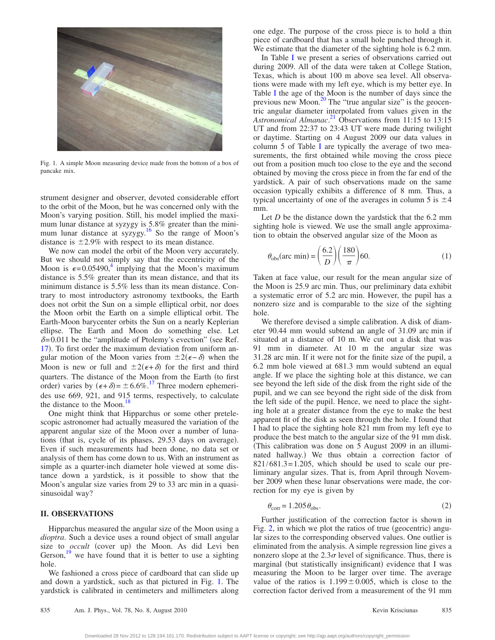<span id="page-2-0"></span>

Fig. 1. A simple Moon measuring device made from the bottom of a box of pancake mix.

strument designer and observer, devoted considerable effort to the orbit of the Moon, but he was concerned only with the Moon's varying position. Still, his model implied the maximum lunar distance at syzygy is 5.8% greater than the minimum lunar distance at syzygy.<sup>16</sup> So the range of Moon's distance is  $\pm 2.9\%$  with respect to its mean distance.

We now can model the orbit of the Moon very accurately. But we should not simply say that the eccentricity of the Moon is  $\epsilon = 0.05490$ , implying that the Moon's maximum distance is 5.5% greater than its mean distance, and that its minimum distance is 5.5% less than its mean distance. Contrary to most introductory astronomy textbooks, the Earth does not orbit the Sun on a simple elliptical orbit, nor does the Moon orbit the Earth on a simple elliptical orbit. The Earth-Moon barycenter orbits the Sun on a nearly Keplerian ellipse. The Earth and Moon do something else. Let  $\delta$ =0.011 be the "amplitude of Ptolemy's evection" (see Ref. [17](#page-5-17)). To first order the maximum deviation from uniform angular motion of the Moon varies from  $\pm 2(\epsilon - \delta)$  when the Moon is new or full and  $\pm 2(\epsilon + \delta)$  for the first and third quarters. The distance of the Moon from the Earth (to first order) varies by  $(\epsilon + \delta) = \pm 6.6\%$ .<sup>17</sup> Three modern ephemerides use 669, 921, and 915 terms, respectively, to calculate the distance to the Moon.<sup>18</sup>

One might think that Hipparchus or some other pretelescopic astronomer had actually measured the variation of the apparent angular size of the Moon over a number of lunations (that is, cycle of its phases, 29.53 days on average). Even if such measurements had been done, no data set or analysis of them has come down to us. With an instrument as simple as a quarter-inch diameter hole viewed at some distance down a yardstick, is it possible to show that the Moon's angular size varies from 29 to 33 arc min in a quasisinusoidal way?

#### **II. OBSERVATIONS**

Hipparchus measured the angular size of the Moon using a *dioptra*. Such a device uses a round object of small angular size to *occult* (cover up) the Moon. As did Levi ben Gerson,  $\frac{19}{19}$  we have found that it is better to use a sighting hole.

We fashioned a cross piece of cardboard that can slide up and down a yardstick, such as that pictured in Fig. [1.](#page-2-0) The yardstick is calibrated in centimeters and millimeters along

one edge. The purpose of the cross piece is to hold a thin piece of cardboard that has a small hole punched through it. We estimate that the diameter of the sighting hole is 6.2 mm.

In Table [I](#page-3-0) we present a series of observations carried out during 2009. All of the data were taken at College Station, Texas, which is about 100 m above sea level. All observations were made with my left eye, which is my better eye. In Table [I](#page-3-0) the age of the Moon is the number of days since the previous new Moon.<sup>20</sup> The "true angular size" is the geocentric angular diameter interpolated from values given in the Astronomical Almanac.<sup>[21](#page-5-21)</sup> Observations from 11:15 to 13:15 UT and from 22:37 to 23:43 UT were made during twilight or daytime. Starting on 4 August 2009 our data values in column 5 of Table [I](#page-3-0) are typically the average of two measurements, the first obtained while moving the cross piece out from a position much too close to the eye and the second obtained by moving the cross piece in from the far end of the yardstick. A pair of such observations made on the same occasion typically exhibits a difference of 8 mm. Thus, a typical uncertainty of one of the averages in column 5 is  $\pm 4$ mm.

Let *D* be the distance down the yardstick that the 6.2 mm sighting hole is viewed. We use the small angle approximation to obtain the observed angular size of the Moon as

$$
\theta_{\rm obs}(\text{arc min}) = \left(\frac{6.2}{D}\right) \left(\frac{180}{\pi}\right) 60. \tag{1}
$$

Taken at face value, our result for the mean angular size of the Moon is 25.9 arc min. Thus, our preliminary data exhibit a systematic error of 5.2 arc min. However, the pupil has a nonzero size and is comparable to the size of the sighting hole.

We therefore devised a simple calibration. A disk of diameter 90.44 mm would subtend an angle of 31.09 arc min if situated at a distance of 10 m. We cut out a disk that was 91 mm in diameter. At 10 m the angular size was 31.28 arc min. If it were not for the finite size of the pupil, a 6.2 mm hole viewed at 681.3 mm would subtend an equal angle. If we place the sighting hole at this distance, we can see beyond the left side of the disk from the right side of the pupil, and we can see beyond the right side of the disk from the left side of the pupil. Hence, we need to place the sighting hole at a greater distance from the eye to make the best apparent fit of the disk as seen through the hole. I found that I had to place the sighting hole 821 mm from my left eye to produce the best match to the angular size of the 91 mm disk. This calibration was done on 5 August 2009 in an illuminated hallway.) We thus obtain a correction factor of  $821/681.3=1.205$ , which should be used to scale our preliminary angular sizes. That is, from April through November 2009 when these lunar observations were made, the correction for my eye is given by

$$
\theta_{\text{corr}} = 1.205 \,\theta_{\text{obs}}.\tag{2}
$$

Further justification of the correction factor is shown in Fig.  $2$ , in which we plot the ratios of true (geocentric) angular sizes to the corresponding observed values. One outlier is eliminated from the analysis. A simple regression line gives a nonzero slope at the  $2.3\sigma$  level of significance. Thus, there is marginal (but statistically insignificant) evidence that I was measuring the Moon to be larger over time. The average value of the ratios is  $1.199 \pm 0.005$ , which is close to the correction factor derived from a measurement of the 91 mm

Downloaded 28 Nov 2012 to 128.194.161.170. Redistribution subject to AAPT license or copyright; see http://ajp.aapt.org/authors/copyright\_permission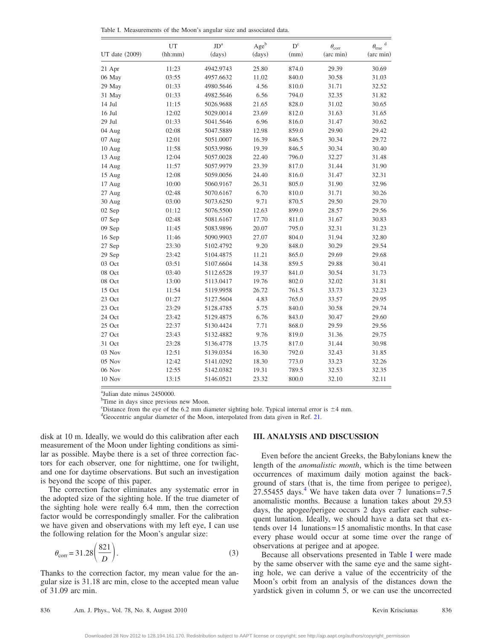<span id="page-3-0"></span>Table I. Measurements of the Moon's angular size and associated data.

| UT date (2009) | UT<br>(hh:mm) | $\mathrm{JD}^\mathrm{a}$<br>(days) | $Age^b$<br>(days) | $D^{c}$<br>(mm) | $\theta_{\rm corr}$<br>(arc min) | $\mathbf d$<br>$\theta_{\rm true}$<br>(arc min) |
|----------------|---------------|------------------------------------|-------------------|-----------------|----------------------------------|-------------------------------------------------|
|                |               |                                    |                   |                 |                                  |                                                 |
| 06 May         | 03:55         | 4957.6632                          | 11.02             | 840.0           | 30.58                            | 31.03                                           |
| 29 May         | 01:33         | 4980.5646                          | 4.56              | 810.0           | 31.71                            | 32.52                                           |
| 31 May         | 01:33         | 4982.5646                          | 6.56              | 794.0           | 32.35                            | 31.82                                           |
| 14 Jul         | 11:15         | 5026.9688                          | 21.65             | 828.0           | 31.02                            | 30.65                                           |
| $16$ Jul       | 12:02         | 5029.0014                          | 23.69             | 812.0           | 31.63                            | 31.65                                           |
| 29 Jul         | 01:33         | 5041.5646                          | 6.96              | 816.0           | 31.47                            | 30.62                                           |
| 04 Aug         | 02:08         | 5047.5889                          | 12.98             | 859.0           | 29.90                            | 29.42                                           |
| 07 Aug         | 12:01         | 5051.0007                          | 16.39             | 846.5           | 30.34                            | 29.72                                           |
| 10 Aug         | 11:58         | 5053.9986                          | 19.39             | 846.5           | 30.34                            | 30.40                                           |
| 13 Aug         | 12:04         | 5057.0028                          | 22.40             | 796.0           | 32.27                            | 31.48                                           |
| 14 Aug         | 11:57         | 5057.9979                          | 23.39             | 817.0           | 31.44                            | 31.90                                           |
| 15 Aug         | 12:08         | 5059.0056                          | 24.40             | 816.0           | 31.47                            | 32.31                                           |
| 17 Aug         | 10:00         | 5060.9167                          | 26.31             | 805.0           | 31.90                            | 32.96                                           |
| 27 Aug         | 02:48         | 5070.6167                          | 6.70              | 810.0           | 31.71                            | 30.26                                           |
| 30 Aug         | 03:00         | 5073.6250                          | 9.71              | 870.5           | 29.50                            | 29.70                                           |
| 02 Sep         | 01:12         | 5076.5500                          | 12.63             | 899.0           | 28.57                            | 29.56                                           |
| 07 Sep         | 02:48         | 5081.6167                          | 17.70             | 811.0           | 31.67                            | 30.83                                           |
| 09 Sep         | 11:45         | 5083.9896                          | 20.07             | 795.0           | 32.31                            | 31.23                                           |
| 16 Sep         | 11:46         | 5090.9903                          | 27.07             | 804.0           | 31.94                            | 32.80                                           |
| 27 Sep         | 23:30         | 5102.4792                          | 9.20              | 848.0           | 30.29                            | 29.54                                           |
| 29 Sep         | 23:42         | 5104.4875                          | 11.21             | 865.0           | 29.69                            | 29.68                                           |
| 03 Oct         | 03:51         | 5107.6604                          | 14.38             | 859.5           | 29.88                            | 30.41                                           |
| 08 Oct         | 03:40         | 5112.6528                          | 19.37             | 841.0           | 30.54                            | 31.73                                           |
| 08 Oct         | 13:00         | 5113.0417                          | 19.76             | 802.0           | 32.02                            | 31.81                                           |
| 15 Oct         | 11:54         | 5119.9958                          | 26.72             | 761.5           | 33.73                            | 32.23                                           |
| 23 Oct         | 01:27         | 5127.5604                          | 4.83              | 765.0           | 33.57                            | 29.95                                           |
| 23 Oct         | 23:29         | 5128.4785                          | 5.75              | 840.0           | 30.58                            | 29.74                                           |
| 24 Oct         | 23:42         | 5129.4875                          | 6.76              | 843.0           | 30.47                            | 29.60                                           |
| 25 Oct         | 22:37         | 5130.4424                          | 7.71              | 868.0           | 29.59                            | 29.56                                           |
| 27 Oct         | 23:43         | 5132.4882                          | 9.76              | 819.0           | 31.36                            | 29.75                                           |
| 31 Oct         | 23:28         | 5136.4778                          | 13.75             | 817.0           | 31.44                            | 30.98                                           |
| 03 Nov         | 12:51         | 5139.0354                          | 16.30             | 792.0           | 32.43                            | 31.85                                           |
| 05 Nov         | 12:42         | 5141.0292                          | 18.30             | 773.0           | 33.23                            | 32.26                                           |
| 06 Nov         | 12:55         | 5142.0382                          | 19.31             | 789.5           | 32.53                            | 32.35                                           |
| 10 Nov         | 13:15         | 5146.0521                          | 23.32             | 800.0           | 32.10                            | 32.11                                           |

a Julian date minus 2450000.

<sup>b</sup>Time in days since previous new Moon.

E Sistance from the eye of the 6.2 mm diameter sighting hole. Typical internal error is  $\pm 4$  mm. <sup>d</sup>Geocentric angular diameter of the Moon, interpolated from data given in Ref. [21.](#page-5-21)

disk at 10 m. Ideally, we would do this calibration after each measurement of the Moon under lighting conditions as similar as possible. Maybe there is a set of three correction factors for each observer, one for nighttime, one for twilight, and one for daytime observations. But such an investigation is beyond the scope of this paper.

The correction factor eliminates any systematic error in the adopted size of the sighting hole. If the true diameter of the sighting hole were really 6.4 mm, then the correction factor would be correspondingly smaller. For the calibration we have given and observations with my left eye, I can use the following relation for the Moon's angular size:

$$
\theta_{\text{corr}} = 31.28 \left( \frac{821}{D} \right). \tag{3}
$$

Thanks to the correction factor, my mean value for the angular size is 31.18 arc min, close to the accepted mean value of 31.09 arc min.

#### **III. ANALYSIS AND DISCUSSION**

Even before the ancient Greeks, the Babylonians knew the length of the *anomalistic month*, which is the time between occurrences of maximum daily motion against the background of stars (that is, the time from perigee to perigee), 27.55455 days.<sup>4</sup> We have taken data over 7 lunations=7.5 anomalistic months. Because a lunation takes about 29.53 days, the apogee/perigee occurs 2 days earlier each subsequent lunation. Ideally, we should have a data set that extends over 14 lunations=15 anomalistic months. In that case every phase would occur at some time over the range of observations at perigee and at apogee.

Because all observations presented in Table [I](#page-3-0) were made by the same observer with the same eye and the same sighting hole, we can derive a value of the eccentricity of the Moon's orbit from an analysis of the distances down the yardstick given in column 5, or we can use the uncorrected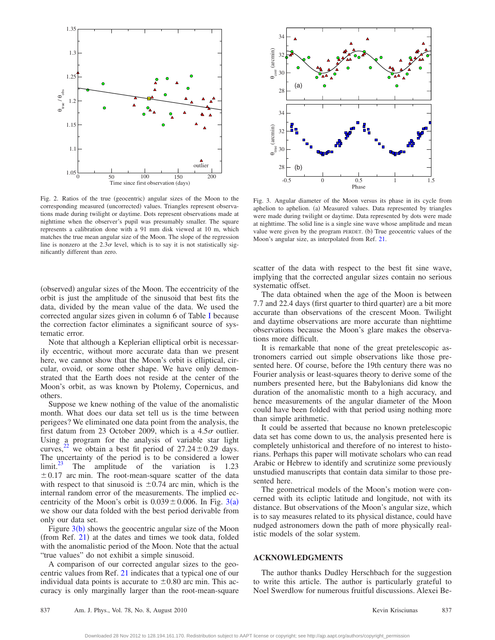<span id="page-4-0"></span>

Fig. 2. Ratios of the true (geocentric) angular sizes of the Moon to the corresponding measured (uncorrected) values. Triangles represent observations made during twilight or daytime. Dots represent observations made at nighttime when the observer's pupil was presumably smaller. The square represents a calibration done with a 91 mm disk viewed at 10 m, which matches the true mean angular size of the Moon. The slope of the regression line is nonzero at the  $2.3\sigma$  level, which is to say it is not statistically significantly different than zero.

(observed) angular sizes of the Moon. The eccentricity of the orbit is just the amplitude of the sinusoid that best fits the data, divided by the mean value of the data. We used the corrected angular sizes given in column 6 of Table [I](#page-3-0) because the correction factor eliminates a significant source of systematic error.

Note that although a Keplerian elliptical orbit is necessarily eccentric, without more accurate data than we present here, we cannot show that the Moon's orbit is elliptical, circular, ovoid, or some other shape. We have only demonstrated that the Earth does not reside at the center of the Moon's orbit, as was known by Ptolemy, Copernicus, and others.

Suppose we knew nothing of the value of the anomalistic month. What does our data set tell us is the time between perigees? We eliminated one data point from the analysis, the first datum from 23 October 2009, which is a  $4.5\sigma$  outlier. Using a program for the analysis of variable star light curves,<sup>[22](#page-5-22)</sup> we obtain a best fit period of  $27.24 \pm 0.29$  days. The uncertainty of the period is to be considered a lower limit.<sup>23</sup> The amplitude of the variation is  $1.23$ The amplitude of the variation is 1[.23](#page-5-23)  $\pm$  0.17 arc min. The root-mean-square scatter of the data with respect to that sinusoid is  $\pm 0.74$  arc min, which is the internal random error of the measurements. The implied eccentricity of the Moon's orbit is  $0.039 \pm 0.006$  $0.039 \pm 0.006$  $0.039 \pm 0.006$ . In Fig. 3(a) we show our data folded with the best period derivable from only our data set.

Figure  $3(b)$  $3(b)$  shows the geocentric angular size of the Moon (from Ref. [21](#page-5-21)) at the dates and times we took data, folded with the anomalistic period of the Moon. Note that the actual "true values" do not exhibit a simple sinusoid.

A comparison of our corrected angular sizes to the geocentric values from Ref. [21](#page-5-21) indicates that a typical one of our individual data points is accurate to  $\pm 0.80$  arc min. This accuracy is only marginally larger than the root-mean-square

<span id="page-4-1"></span>

Fig. 3. Angular diameter of the Moon versus its phase in its cycle from aphelion to aphelion. (a) Measured values. Data represented by triangles were made during twilight or daytime. Data represented by dots were made at nighttime. The solid line is a single sine wave whose amplitude and mean value were given by the program PERDET. (b) True geocentric values of the Moon's angular size, as interpolated from Ref. [21.](#page-5-21)

scatter of the data with respect to the best fit sine wave, implying that the corrected angular sizes contain no serious systematic offset.

The data obtained when the age of the Moon is between 7.7 and 22.4 days (first quarter to third quarter) are a bit more accurate than observations of the crescent Moon. Twilight and daytime observations are more accurate than nighttime observations because the Moon's glare makes the observations more difficult.

It is remarkable that none of the great pretelescopic astronomers carried out simple observations like those presented here. Of course, before the 19th century there was no Fourier analysis or least-squares theory to derive some of the numbers presented here, but the Babylonians did know the duration of the anomalistic month to a high accuracy, and hence measurements of the angular diameter of the Moon could have been folded with that period using nothing more than simple arithmetic.

It could be asserted that because no known pretelescopic data set has come down to us, the analysis presented here is completely unhistorical and therefore of no interest to historians. Perhaps this paper will motivate scholars who can read Arabic or Hebrew to identify and scrutinize some previously unstudied manuscripts that contain data similar to those presented here.

The geometrical models of the Moon's motion were concerned with its ecliptic latitude and longitude, not with its distance. But observations of the Moon's angular size, which is to say measures related to its physical distance, could have nudged astronomers down the path of more physically realistic models of the solar system.

#### **ACKNOWLEDGMENTS**

The author thanks Dudley Herschbach for the suggestion to write this article. The author is particularly grateful to Noel Swerdlow for numerous fruitful discussions. Alexei Be